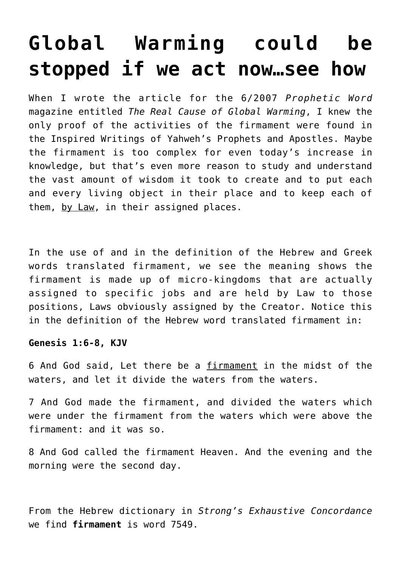# **[Global Warming could be](https://yahwehsbranch.com/global-warming-could-be-stopped-if-we-act-nowsee-how/) [stopped if we act now…see how](https://yahwehsbranch.com/global-warming-could-be-stopped-if-we-act-nowsee-how/)**

When I wrote the article for the 6/2007 *Prophetic Word* magazine entitled *The Real Cause of Global Warming*, I knew the only proof of the activities of the firmament were found in the Inspired Writings of Yahweh's Prophets and Apostles. Maybe the firmament is too complex for even today's increase in knowledge, but that's even more reason to study and understand the vast amount of wisdom it took to create and to put each and every living object in their place and to keep each of them, by Law, in their assigned places.

In the use of and in the definition of the Hebrew and Greek words translated firmament, we see the meaning shows the firmament is made up of micro-kingdoms that are actually assigned to specific jobs and are held by Law to those positions, Laws obviously assigned by the Creator. Notice this in the definition of the Hebrew word translated firmament in:

# **Genesis 1:6-8, KJV**

6 And God said, Let there be a firmament in the midst of the waters, and let it divide the waters from the waters.

7 And God made the firmament, and divided the waters which were under the firmament from the waters which were above the firmament: and it was so.

8 And God called the firmament Heaven. And the evening and the morning were the second day.

From the Hebrew dictionary in *Strong's Exhaustive Concordance* we find **firmament** is word 7549.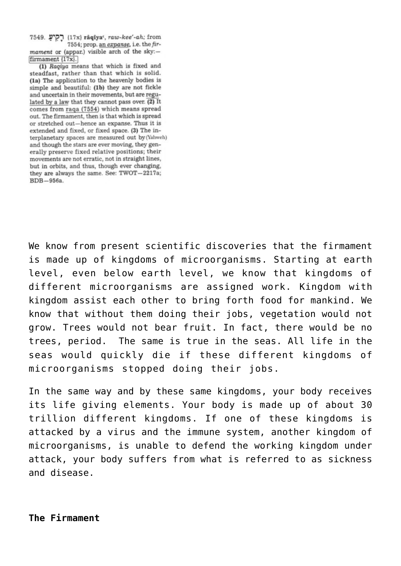7549. (17x) râqîya', raw-kee'-ah; from 7554; prop. an expanse, i.e. the fir-

mament or (appar.) visible arch of the sky:firmament (17x).

(1) Ragiya means that which is fixed and steadfast, rather than that which is solid. (1a) The application to the heavenly bodies is simple and beautiful: (1b) they are not fickle and uncertain in their movements, but are regulated by a law that they cannot pass over. (2) It comes from raga (7554) which means spread out. The firmament, then is that which is spread or stretched out-hence an expanse. Thus it is extended and fixed, or fixed space. (3) The interplanetary spaces are measured out by (Yahweh) and though the stars are ever moving, they generally preserve fixed relative positions; their movements are not erratic, not in straight lines, but in orbits, and thus, though ever changing, they are always the same. See: TWOT-2217a; BDB-956a.

We know from present scientific discoveries that the firmament is made up of kingdoms of microorganisms. Starting at earth level, even below earth level, we know that kingdoms of different microorganisms are assigned work. Kingdom with kingdom assist each other to bring forth food for mankind. We know that without them doing their jobs, vegetation would not grow. Trees would not bear fruit. In fact, there would be no trees, period. The same is true in the seas. All life in the seas would quickly die if these different kingdoms of microorganisms stopped doing their jobs.

In the same way and by these same kingdoms, your body receives its life giving elements. Your body is made up of about 30 trillion different kingdoms. If one of these kingdoms is attacked by a virus and the immune system, another kingdom of microorganisms, is unable to defend the working kingdom under attack, your body suffers from what is referred to as sickness and disease.

**The Firmament**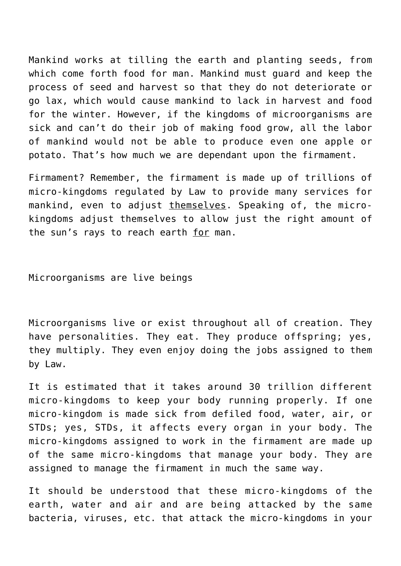Mankind works at tilling the earth and planting seeds, from which come forth food for man. Mankind must guard and keep the process of seed and harvest so that they do not deteriorate or go lax, which would cause mankind to lack in harvest and food for the winter. However, if the kingdoms of microorganisms are sick and can't do their job of making food grow, all the labor of mankind would not be able to produce even one apple or potato. That's how much we are dependant upon the firmament.

Firmament? Remember, the firmament is made up of trillions of micro-kingdoms regulated by Law to provide many services for mankind, even to adjust themselves. Speaking of, the microkingdoms adjust themselves to allow just the right amount of the sun's rays to reach earth for man.

Microorganisms are live beings

Microorganisms live or exist throughout all of creation. They have personalities. They eat. They produce offspring; yes, they multiply. They even enjoy doing the jobs assigned to them by Law.

It is estimated that it takes around 30 trillion different micro-kingdoms to keep your body running properly. If one micro-kingdom is made sick from defiled food, water, air, or STDs; yes, STDs, it affects every organ in your body. The micro-kingdoms assigned to work in the firmament are made up of the same micro-kingdoms that manage your body. They are assigned to manage the firmament in much the same way.

It should be understood that these micro-kingdoms of the earth, water and air and are being attacked by the same bacteria, viruses, etc. that attack the micro-kingdoms in your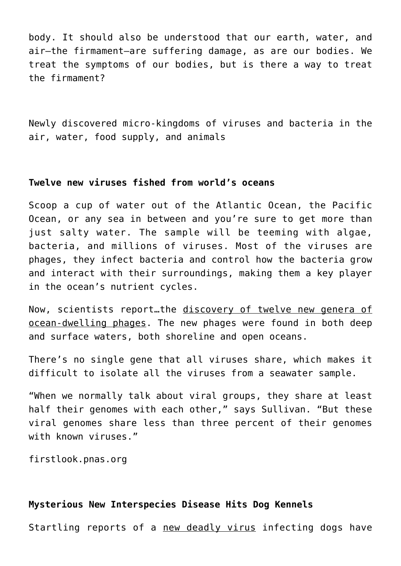body. It should also be understood that our earth, water, and air–the firmament–are suffering damage, as are our bodies. We treat the symptoms of our bodies, but is there a way to treat the firmament?

Newly discovered micro-kingdoms of viruses and bacteria in the air, water, food supply, and animals

### **Twelve new viruses fished from world's oceans**

Scoop a cup of water out of the Atlantic Ocean, the Pacific Ocean, or any sea in between and you're sure to get more than just salty water. The sample will be teeming with algae, bacteria, and millions of viruses. Most of the viruses are phages, they infect bacteria and control how the bacteria grow and interact with their surroundings, making them a key player in the ocean's nutrient cycles.

Now, scientists report…the discovery of twelve new genera of ocean-dwelling phages. The new phages were found in both deep and surface waters, both shoreline and open oceans.

There's no single gene that all viruses share, which makes it difficult to isolate all the viruses from a seawater sample.

"When we normally talk about viral groups, they share at least half their genomes with each other," says Sullivan. "But these viral genomes share less than three percent of their genomes with known viruses."

firstlook.pnas.org

# **Mysterious New Interspecies Disease Hits Dog Kennels**

Startling reports of a new deadly virus infecting dogs have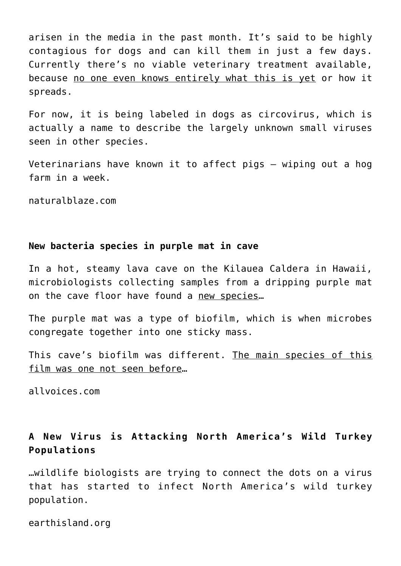arisen in the media in the past month. It's said to be highly contagious for dogs and can kill them in just a few days. Currently there's no viable veterinary treatment available, because no one even knows entirely what this is yet or how it spreads.

For now, it is being labeled in dogs as circovirus, which is actually a name to describe the largely unknown small viruses seen in other species.

Veterinarians have known it to affect pigs – wiping out a hog farm in a week.

naturalblaze.com

#### **New bacteria species in purple mat in cave**

In a hot, steamy lava cave on the Kilauea Caldera in Hawaii, microbiologists collecting samples from a dripping purple mat on the cave floor have found a new species…

The purple mat was a type of biofilm, which is when microbes congregate together into one sticky mass.

This cave's biofilm was different. The main species of this film was one not seen before…

allvoices.com

# **A New Virus is Attacking North America's Wild Turkey Populations**

…wildlife biologists are trying to connect the dots on a virus that has started to infect North America's wild turkey population.

earthisland.org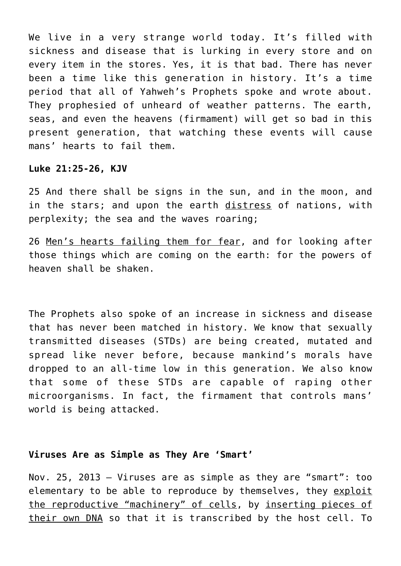We live in a very strange world today. It's filled with sickness and disease that is lurking in every store and on every item in the stores. Yes, it is that bad. There has never been a time like this generation in history. It's a time period that all of Yahweh's Prophets spoke and wrote about. They prophesied of unheard of weather patterns. The earth, seas, and even the heavens (firmament) will get so bad in this present generation, that watching these events will cause mans' hearts to fail them.

#### **Luke 21:25-26, KJV**

25 And there shall be signs in the sun, and in the moon, and in the stars; and upon the earth distress of nations, with perplexity; the sea and the waves roaring;

26 Men's hearts failing them for fear, and for looking after those things which are coming on the earth: for the powers of heaven shall be shaken.

The Prophets also spoke of an increase in sickness and disease that has never been matched in history. We know that sexually transmitted diseases (STDs) are being created, mutated and spread like never before, because mankind's morals have dropped to an all-time low in this generation. We also know that some of these STDs are capable of raping other microorganisms. In fact, the firmament that controls mans' world is being attacked.

# **Viruses Are as Simple as They Are 'Smart'**

Nov. 25, 2013 — Viruses are as simple as they are "smart": too elementary to be able to reproduce by themselves, they exploit the reproductive "machinery" of cells, by inserting pieces of their own DNA so that it is transcribed by the host cell. To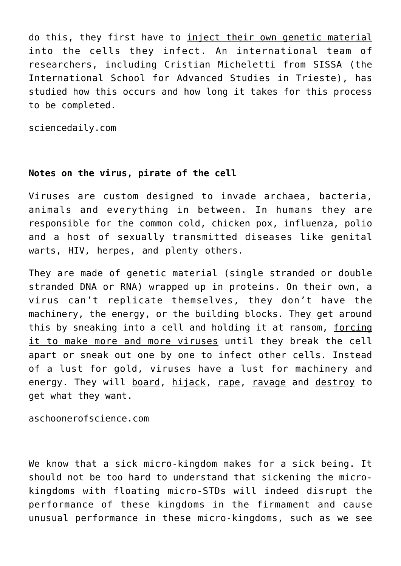do this, they first have to inject their own genetic material into the cells they infect. An international team of researchers, including Cristian Micheletti from SISSA (the International School for Advanced Studies in Trieste), has studied how this occurs and how long it takes for this process to be completed.

sciencedaily.com

#### **Notes on the virus, pirate of the cell**

Viruses are custom designed to invade archaea, bacteria, animals and everything in between. In humans they are responsible for the common cold, chicken pox, influenza, polio and a host of sexually transmitted diseases like genital warts, HIV, herpes, and plenty others.

They are made of genetic material (single stranded or double stranded DNA or RNA) wrapped up in proteins. On their own, a virus can't replicate themselves, they don't have the machinery, the energy, or the building blocks. They get around this by sneaking into a cell and holding it at ransom, forcing it to make more and more viruses until they break the cell apart or sneak out one by one to infect other cells. Instead of a lust for gold, viruses have a lust for machinery and energy. They will board, hijack, rape, ravage and destroy to get what they want.

aschoonerofscience.com

We know that a sick micro-kingdom makes for a sick being. It should not be too hard to understand that sickening the microkingdoms with floating micro-STDs will indeed disrupt the performance of these kingdoms in the firmament and cause unusual performance in these micro-kingdoms, such as we see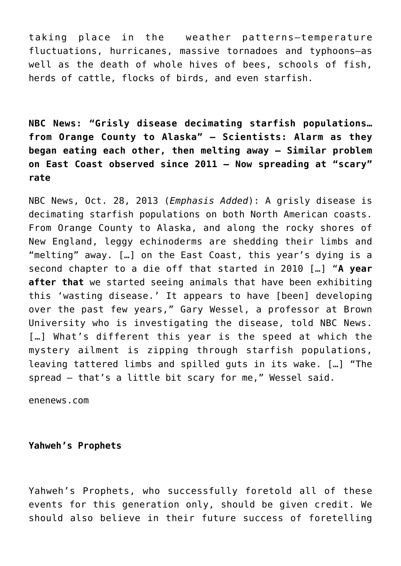taking place in the weather patterns—temperature fluctuations, hurricanes, massive tornadoes and typhoons—as well as the death of whole hives of bees, schools of fish, herds of cattle, flocks of birds, and even starfish.

**NBC News: "Grisly disease decimating starfish populations… from Orange County to Alaska" — Scientists: Alarm as they began eating each other, then melting away — Similar problem on East Coast observed since 2011 — Now spreading at "scary" rate**

[NBC News](http://www.nbcnews.com/science/whats-eating-starfish-mystery-rot-threatens-populations-both-coasts-8C11481794), Oct. 28, 2013 (*Emphasis Added*): A grisly disease is decimating starfish populations on both North American coasts. From Orange County to Alaska, and along the rocky shores of New England, leggy echinoderms are shedding their limbs and "melting" away. […] on the East Coast, this year's dying is a second chapter to a die off that started in 2010 […] "**A year after that** we started seeing animals that have been exhibiting this 'wasting disease.' It appears to have [been] developing over the past few years," Gary Wessel, a professor at Brown University who is investigating the disease, told NBC News. [...] What's different this year is the speed at which the mystery ailment is zipping through starfish populations, leaving tattered limbs and spilled guts in its wake. […] "The spread — that's a little bit scary for me," Wessel said.

enenews.com

**Yahweh's Prophets**

Yahweh's Prophets, who successfully foretold all of these events for this generation only, should be given credit. We should also believe in their future success of foretelling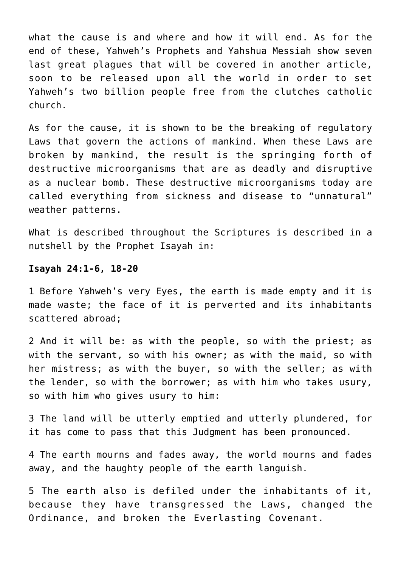what the cause is and where and how it will end. As for the end of these, Yahweh's Prophets and Yahshua Messiah show seven last great plagues that will be covered in another article, soon to be released upon all the world in order to set Yahweh's two billion people free from the clutches catholic church.

As for the cause, it is shown to be the breaking of regulatory Laws that govern the actions of mankind. When these Laws are broken by mankind, the result is the springing forth of destructive microorganisms that are as deadly and disruptive as a nuclear bomb. These destructive microorganisms today are called everything from sickness and disease to "unnatural" weather patterns.

What is described throughout the Scriptures is described in a nutshell by the Prophet Isayah in:

#### **Isayah 24:1-6, 18-20**

1 Before Yahweh's very Eyes, the earth is made empty and it is made waste; the face of it is perverted and its inhabitants scattered abroad;

2 And it will be: as with the people, so with the priest; as with the servant, so with his owner; as with the maid, so with her mistress; as with the buyer, so with the seller; as with the lender, so with the borrower; as with him who takes usury, so with him who gives usury to him:

3 The land will be utterly emptied and utterly plundered, for it has come to pass that this Judgment has been pronounced.

4 The earth mourns and fades away, the world mourns and fades away, and the haughty people of the earth languish.

5 The earth also is defiled under the inhabitants of it, because they have transgressed the Laws, changed the Ordinance, and broken the Everlasting Covenant.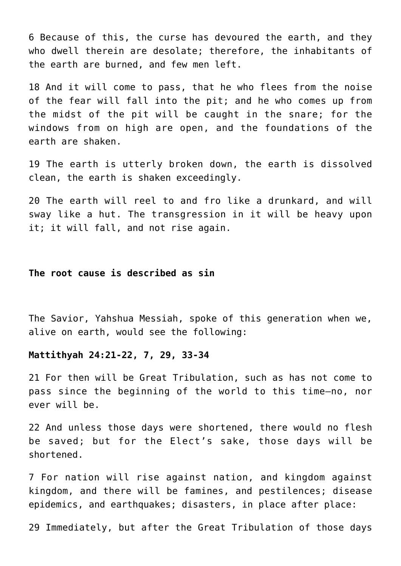6 Because of this, the curse has devoured the earth, and they who dwell therein are desolate; therefore, the inhabitants of the earth are burned, and few men left.

18 And it will come to pass, that he who flees from the noise of the fear will fall into the pit; and he who comes up from the midst of the pit will be caught in the snare; for the windows from on high are open, and the foundations of the earth are shaken.

19 The earth is utterly broken down, the earth is dissolved clean, the earth is shaken exceedingly.

20 The earth will reel to and fro like a drunkard, and will sway like a hut. The transgression in it will be heavy upon it; it will fall, and not rise again.

#### **The root cause is described as sin**

The Savior, Yahshua Messiah, spoke of this generation when we, alive on earth, would see the following:

#### **Mattithyah 24:21-22, 7, 29, 33-34**

21 For then will be Great Tribulation, such as has not come to pass since the beginning of the world to this time—no, nor ever will be.

22 And unless those days were shortened, there would no flesh be saved; but for the Elect's sake, those days will be shortened.

7 For nation will rise against nation, and kingdom against kingdom, and there will be famines, and pestilences; disease epidemics, and earthquakes; disasters, in place after place:

29 Immediately, but after the Great Tribulation of those days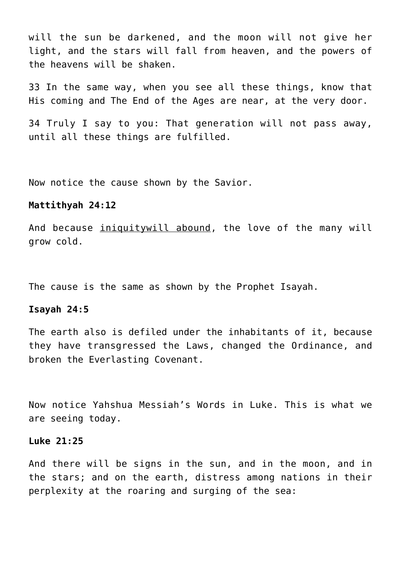will the sun be darkened, and the moon will not give her light, and the stars will fall from heaven, and the powers of the heavens will be shaken.

33 In the same way, when you see all these things, know that His coming and The End of the Ages are near, at the very door.

34 Truly I say to you: That generation will not pass away, until all these things are fulfilled.

Now notice the cause shown by the Savior.

#### **Mattithyah 24:12**

And because iniquitywill abound, the love of the many will grow cold.

The cause is the same as shown by the Prophet Isayah.

#### **Isayah 24:5**

The earth also is defiled under the inhabitants of it, because they have transgressed the Laws, changed the Ordinance, and broken the Everlasting Covenant.

Now notice Yahshua Messiah's Words in Luke. This is what we are seeing today.

#### **Luke 21:25**

And there will be signs in the sun, and in the moon, and in the stars; and on the earth, distress among nations in their perplexity at the roaring and surging of the sea: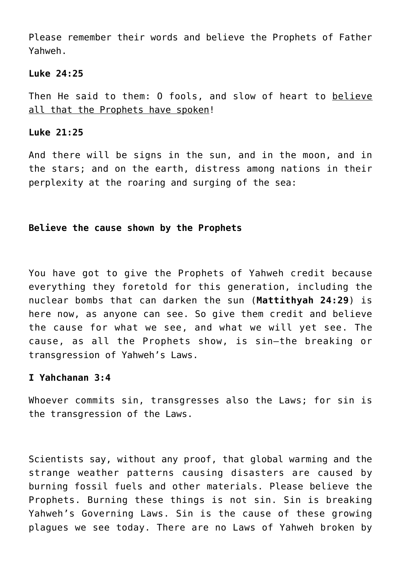Please remember their words and believe the Prophets of Father Yahweh.

#### **Luke 24:25**

Then He said to them: O fools, and slow of heart to believe all that the Prophets have spoken!

#### **Luke 21:25**

And there will be signs in the sun, and in the moon, and in the stars; and on the earth, distress among nations in their perplexity at the roaring and surging of the sea:

# **Believe the cause shown by the Prophets**

You have got to give the Prophets of Yahweh credit because everything they foretold for this generation, including the nuclear bombs that can darken the sun (**Mattithyah 24:29**) is here now, as anyone can see. So give them credit and believe the cause for what we see, and what we will yet see. The cause, as all the Prophets show, is sin—the breaking or transgression of Yahweh's Laws.

#### **I Yahchanan 3:4**

Whoever commits sin, transgresses also the Laws; for sin is the transgression of the Laws.

Scientists say, without any proof, that global warming and the strange weather patterns causing disasters are caused by burning fossil fuels and other materials. Please believe the Prophets. Burning these things is not sin. Sin is breaking Yahweh's Governing Laws. Sin is the cause of these growing plagues we see today. There are no Laws of Yahweh broken by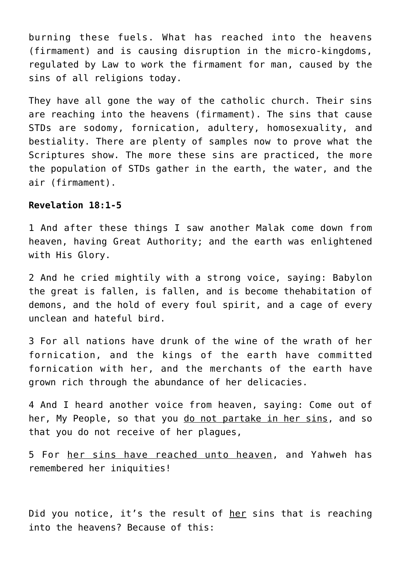burning these fuels. What has reached into the heavens (firmament) and is causing disruption in the micro-kingdoms, regulated by Law to work the firmament for man, caused by the sins of all religions today.

They have all gone the way of the catholic church. Their sins are reaching into the heavens (firmament). The sins that cause STDs are sodomy, fornication, adultery, homosexuality, and bestiality. There are plenty of samples now to prove what the Scriptures show. The more these sins are practiced, the more the population of STDs gather in the earth, the water, and the air (firmament).

#### **Revelation 18:1-5**

1 And after these things I saw another Malak come down from heaven, having Great Authority; and the earth was enlightened with His Glory.

2 And he cried mightily with a strong voice, saying: Babylon the great is fallen, is fallen, and is become thehabitation of demons, and the hold of every foul spirit, and a cage of every unclean and hateful bird.

3 For all nations have drunk of the wine of the wrath of her fornication, and the kings of the earth have committed fornication with her, and the merchants of the earth have grown rich through the abundance of her delicacies.

4 And I heard another voice from heaven, saying: Come out of her, My People, so that you do not partake in her sins, and so that you do not receive of her plagues,

5 For her sins have reached unto heaven, and Yahweh has remembered her iniquities!

Did you notice, it's the result of her sins that is reaching into the heavens? Because of this: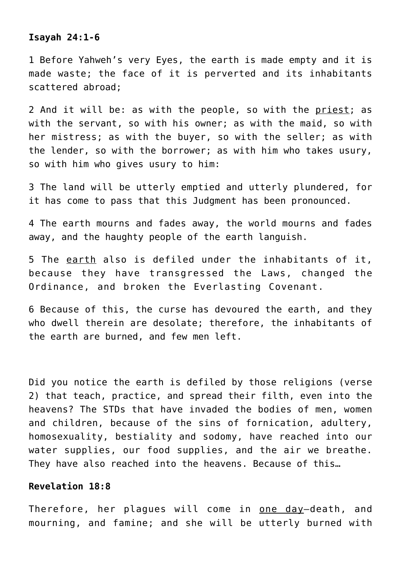# **Isayah 24:1-6**

1 Before Yahweh's very Eyes, the earth is made empty and it is made waste; the face of it is perverted and its inhabitants scattered abroad;

2 And it will be: as with the people, so with the priest; as with the servant, so with his owner; as with the maid, so with her mistress; as with the buyer, so with the seller; as with the lender, so with the borrower; as with him who takes usury, so with him who gives usury to him:

3 The land will be utterly emptied and utterly plundered, for it has come to pass that this Judgment has been pronounced.

4 The earth mourns and fades away, the world mourns and fades away, and the haughty people of the earth languish.

5 The earth also is defiled under the inhabitants of it, because they have transgressed the Laws, changed the Ordinance, and broken the Everlasting Covenant.

6 Because of this, the curse has devoured the earth, and they who dwell therein are desolate; therefore, the inhabitants of the earth are burned, and few men left.

Did you notice the earth is defiled by those religions (verse 2) that teach, practice, and spread their filth, even into the heavens? The STDs that have invaded the bodies of men, women and children, because of the sins of fornication, adultery, homosexuality, bestiality and sodomy, have reached into our water supplies, our food supplies, and the air we breathe. They have also reached into the heavens. Because of this…

# **Revelation 18:8**

Therefore, her plagues will come in <u>one day</u>-death, and mourning, and famine; and she will be utterly burned with